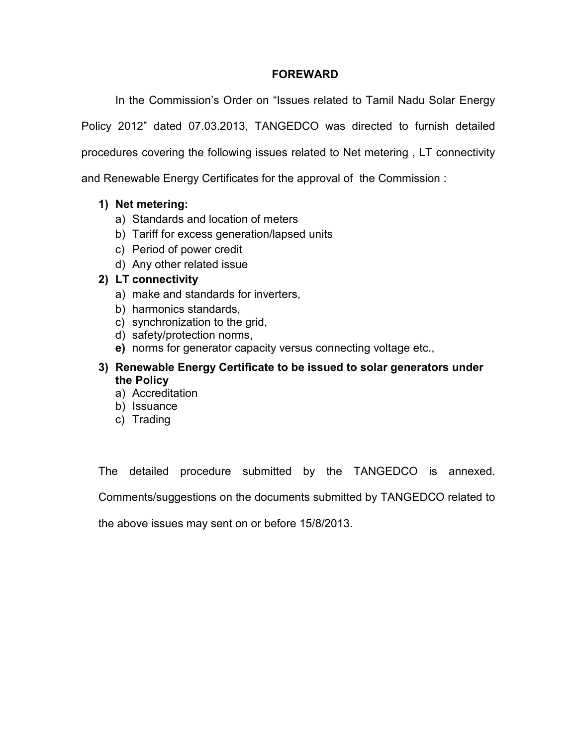## FOREWARD

In the Commission's Order on "Issues related to Tamil Nadu Solar Energy Policy 2012" dated 07.03.2013, TANGEDCO was directed to furnish detailed procedures covering the following issues related to Net metering , LT connectivity and Renewable Energy Certificates for the approval of the Commission :

## 1) Net metering:

- a) Standards and location of meters
- b) Tariff for excess generation/lapsed units
- c) Period of power credit
- d) Any other related issue

## 2) LT connectivity

- a) make and standards for inverters,
- b) harmonics standards,
- c) synchronization to the grid,
- d) safety/protection norms,
- e) norms for generator capacity versus connecting voltage etc.,

## 3) Renewable Energy Certificate to be issued to solar generators under the Policy

- a) Accreditation
- b) Issuance
- c) Trading

The detailed procedure submitted by the TANGEDCO is annexed.

Comments/suggestions on the documents submitted by TANGEDCO related to

the above issues may sent on or before 15/8/2013.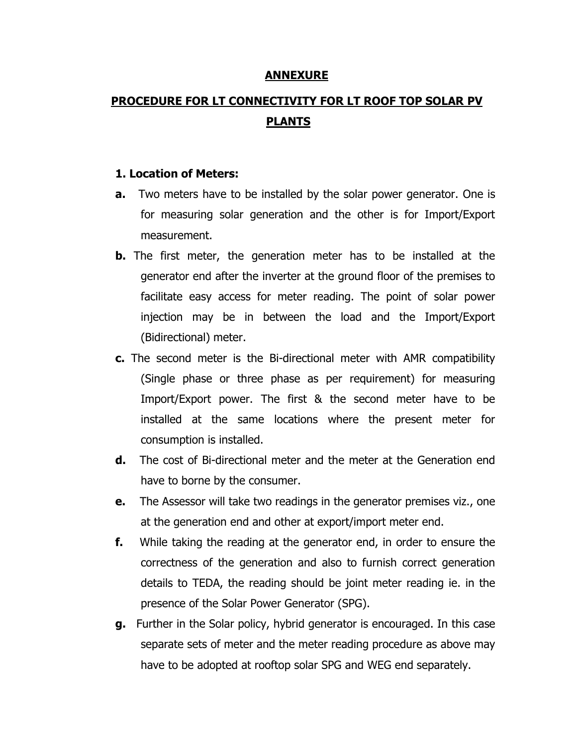### ANNEXURE

# PROCEDURE FOR LT CONNECTIVITY FOR LT ROOF TOP SOLAR PV PLANTS

### 1. Location of Meters:

- **a.** Two meters have to be installed by the solar power generator. One is for measuring solar generation and the other is for Import/Export measurement.
- **b.** The first meter, the generation meter has to be installed at the generator end after the inverter at the ground floor of the premises to facilitate easy access for meter reading. The point of solar power injection may be in between the load and the Import/Export (Bidirectional) meter.
- c. The second meter is the Bi-directional meter with AMR compatibility (Single phase or three phase as per requirement) for measuring Import/Export power. The first & the second meter have to be installed at the same locations where the present meter for consumption is installed.
- d. The cost of Bi-directional meter and the meter at the Generation end have to borne by the consumer.
- **e.** The Assessor will take two readings in the generator premises viz., one at the generation end and other at export/import meter end.
- f. While taking the reading at the generator end, in order to ensure the correctness of the generation and also to furnish correct generation details to TEDA, the reading should be joint meter reading ie. in the presence of the Solar Power Generator (SPG).
- g. Further in the Solar policy, hybrid generator is encouraged. In this case separate sets of meter and the meter reading procedure as above may have to be adopted at rooftop solar SPG and WEG end separately.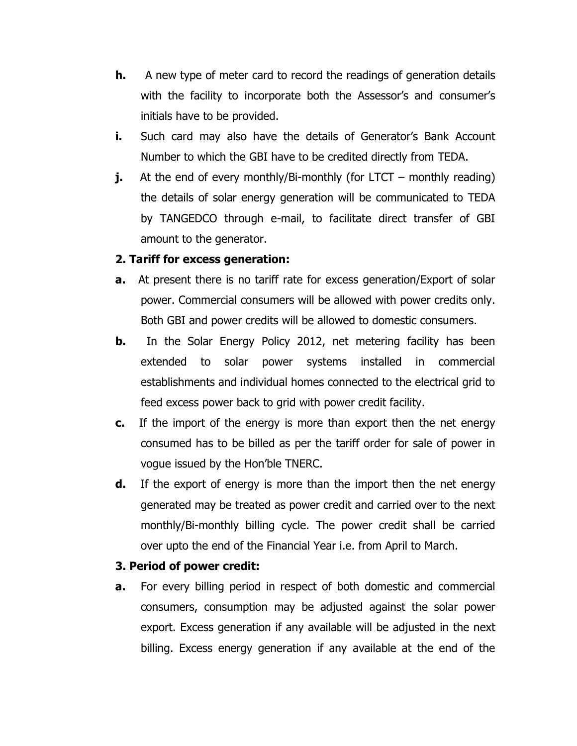- **h.** A new type of meter card to record the readings of generation details with the facility to incorporate both the Assessor's and consumer's initials have to be provided.
- **i.** Such card may also have the details of Generator's Bank Account Number to which the GBI have to be credited directly from TEDA.
- **j.** At the end of every monthly/Bi-monthly (for LTCT monthly reading) the details of solar energy generation will be communicated to TEDA by TANGEDCO through e-mail, to facilitate direct transfer of GBI amount to the generator.

## 2. Tariff for excess generation:

- **a.** At present there is no tariff rate for excess generation/Export of solar power. Commercial consumers will be allowed with power credits only. Both GBI and power credits will be allowed to domestic consumers.
- **b.** In the Solar Energy Policy 2012, net metering facility has been extended to solar power systems installed in commercial establishments and individual homes connected to the electrical grid to feed excess power back to grid with power credit facility.
- **c.** If the import of the energy is more than export then the net energy consumed has to be billed as per the tariff order for sale of power in vogue issued by the Hon'ble TNERC.
- **d.** If the export of energy is more than the import then the net energy generated may be treated as power credit and carried over to the next monthly/Bi-monthly billing cycle. The power credit shall be carried over upto the end of the Financial Year i.e. from April to March.

## 3. Period of power credit:

**a.** For every billing period in respect of both domestic and commercial consumers, consumption may be adjusted against the solar power export. Excess generation if any available will be adjusted in the next billing. Excess energy generation if any available at the end of the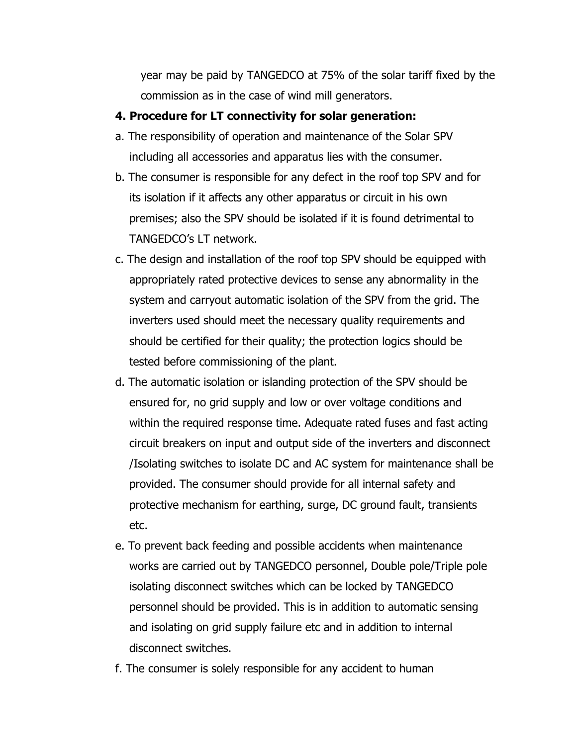year may be paid by TANGEDCO at 75% of the solar tariff fixed by the commission as in the case of wind mill generators.

## 4. Procedure for LT connectivity for solar generation:

- a. The responsibility of operation and maintenance of the Solar SPV including all accessories and apparatus lies with the consumer.
- b. The consumer is responsible for any defect in the roof top SPV and for its isolation if it affects any other apparatus or circuit in his own premises; also the SPV should be isolated if it is found detrimental to TANGEDCO's LT network.
- c. The design and installation of the roof top SPV should be equipped with appropriately rated protective devices to sense any abnormality in the system and carryout automatic isolation of the SPV from the grid. The inverters used should meet the necessary quality requirements and should be certified for their quality; the protection logics should be tested before commissioning of the plant.
- d. The automatic isolation or islanding protection of the SPV should be ensured for, no grid supply and low or over voltage conditions and within the required response time. Adequate rated fuses and fast acting circuit breakers on input and output side of the inverters and disconnect /Isolating switches to isolate DC and AC system for maintenance shall be provided. The consumer should provide for all internal safety and protective mechanism for earthing, surge, DC ground fault, transients etc.
- e. To prevent back feeding and possible accidents when maintenance works are carried out by TANGEDCO personnel, Double pole/Triple pole isolating disconnect switches which can be locked by TANGEDCO personnel should be provided. This is in addition to automatic sensing and isolating on grid supply failure etc and in addition to internal disconnect switches.
- f. The consumer is solely responsible for any accident to human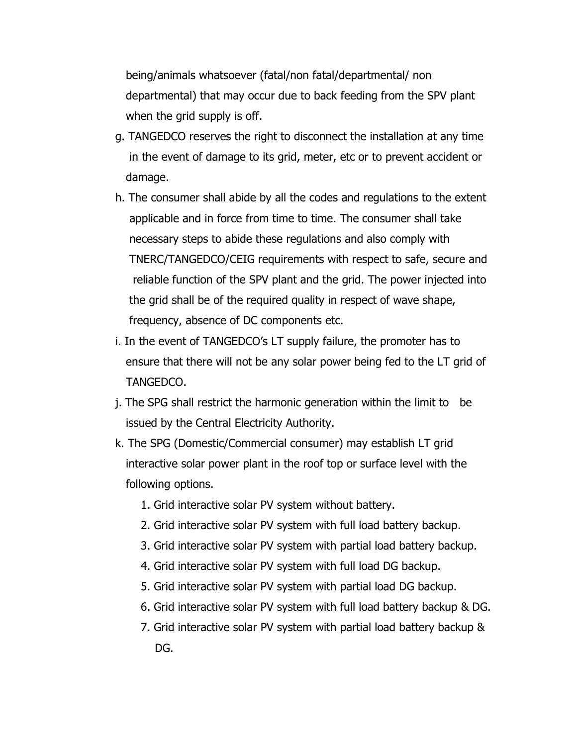being/animals whatsoever (fatal/non fatal/departmental/ non departmental) that may occur due to back feeding from the SPV plant when the grid supply is off.

- g. TANGEDCO reserves the right to disconnect the installation at any time in the event of damage to its grid, meter, etc or to prevent accident or damage.
- h. The consumer shall abide by all the codes and regulations to the extent applicable and in force from time to time. The consumer shall take necessary steps to abide these regulations and also comply with TNERC/TANGEDCO/CEIG requirements with respect to safe, secure and reliable function of the SPV plant and the grid. The power injected into the grid shall be of the required quality in respect of wave shape, frequency, absence of DC components etc.
- i. In the event of TANGEDCO's LT supply failure, the promoter has to ensure that there will not be any solar power being fed to the LT grid of TANGEDCO.
- j. The SPG shall restrict the harmonic generation within the limit to be issued by the Central Electricity Authority.
- k. The SPG (Domestic/Commercial consumer) may establish LT grid interactive solar power plant in the roof top or surface level with the following options.
	- 1. Grid interactive solar PV system without battery.
	- 2. Grid interactive solar PV system with full load battery backup.
	- 3. Grid interactive solar PV system with partial load battery backup.
	- 4. Grid interactive solar PV system with full load DG backup.
	- 5. Grid interactive solar PV system with partial load DG backup.
	- 6. Grid interactive solar PV system with full load battery backup & DG.
	- 7. Grid interactive solar PV system with partial load battery backup & DG.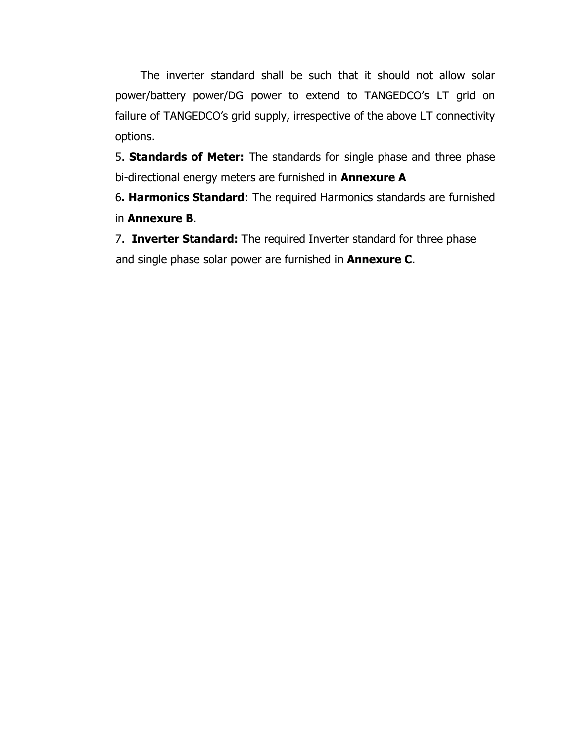The inverter standard shall be such that it should not allow solar power/battery power/DG power to extend to TANGEDCO's LT grid on failure of TANGEDCO's grid supply, irrespective of the above LT connectivity options.

5. Standards of Meter: The standards for single phase and three phase bi-directional energy meters are furnished in **Annexure A** 

6. Harmonics Standard: The required Harmonics standards are furnished in Annexure B.

7. Inverter Standard: The required Inverter standard for three phase and single phase solar power are furnished in **Annexure C**.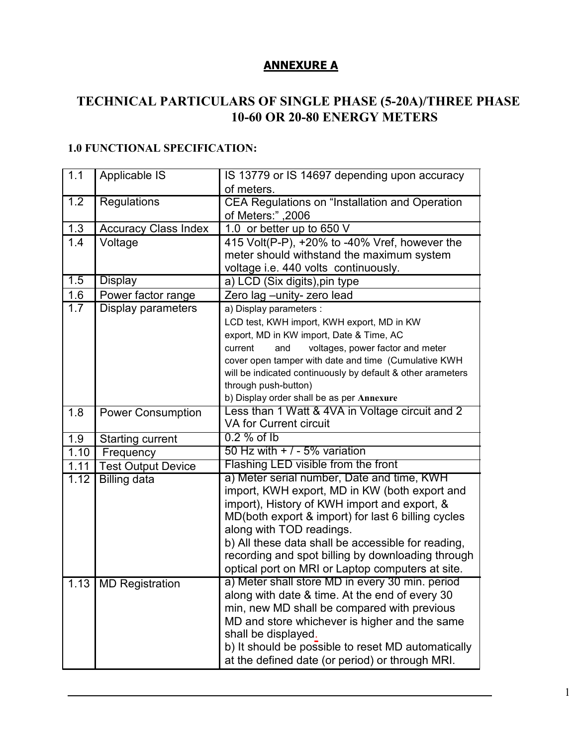## ANNEXURE A

# TECHICAL PARTICULARS OF SIGLE PHASE (5-20A)/THREE PHASE 10-60 OR 20-80 ENERGY METERS

## 1.0 FUNCTIONAL SPECIFICATION:

| 1.1                         | Applicable IS               | IS 13779 or IS 14697 depending upon accuracy                                                          |  |
|-----------------------------|-----------------------------|-------------------------------------------------------------------------------------------------------|--|
|                             |                             | of meters.                                                                                            |  |
| $\overline{1.2}$            | <b>Regulations</b>          | CEA Regulations on "Installation and Operation                                                        |  |
|                             |                             | of Meters:",2006                                                                                      |  |
| 1.3                         | <b>Accuracy Class Index</b> | 1.0 or better up to 650 V                                                                             |  |
| 1.4                         | Voltage                     | 415 Volt(P-P), +20% to -40% Vref, however the                                                         |  |
|                             |                             | meter should withstand the maximum system                                                             |  |
|                             |                             | voltage i.e. 440 volts continuously.                                                                  |  |
| 1.5                         | <b>Display</b>              | a) LCD (Six digits), pin type                                                                         |  |
| 1.6                         | Power factor range          | Zero lag - unity- zero lead                                                                           |  |
| 1.7                         | Display parameters          | a) Display parameters :                                                                               |  |
|                             |                             | LCD test, KWH import, KWH export, MD in KW                                                            |  |
|                             |                             | export, MD in KW import, Date & Time, AC                                                              |  |
|                             |                             | voltages, power factor and meter<br>current<br>and                                                    |  |
|                             |                             | cover open tamper with date and time (Cumulative KWH                                                  |  |
|                             |                             | will be indicated continuously by default & other arameters                                           |  |
|                             |                             | through push-button)                                                                                  |  |
|                             |                             | b) Display order shall be as per Annexure                                                             |  |
| 1.8                         | <b>Power Consumption</b>    | Less than 1 Watt & 4VA in Voltage circuit and 2                                                       |  |
|                             |                             | <b>VA for Current circuit</b>                                                                         |  |
| 1.9                         | <b>Starting current</b>     | $0.2\%$ of Ib                                                                                         |  |
| 1.10                        | Frequency                   | 50 Hz with $+$ / - 5% variation                                                                       |  |
| 1.11                        | <b>Test Output Device</b>   | Flashing LED visible from the front                                                                   |  |
| 1.12<br><b>Billing data</b> |                             | a) Meter serial number, Date and time, KWH                                                            |  |
|                             |                             | import, KWH export, MD in KW (both export and                                                         |  |
|                             |                             | import), History of KWH import and export, &                                                          |  |
|                             |                             | MD(both export & import) for last 6 billing cycles                                                    |  |
|                             |                             | along with TOD readings.                                                                              |  |
|                             |                             | b) All these data shall be accessible for reading,                                                    |  |
|                             |                             | recording and spot billing by downloading through<br>optical port on MRI or Laptop computers at site. |  |
|                             |                             |                                                                                                       |  |
|                             |                             |                                                                                                       |  |
|                             | 1.13 MD Registration        | a) Meter shall store MD in every 30 min. period                                                       |  |
|                             |                             | along with date & time. At the end of every 30                                                        |  |
|                             |                             | min, new MD shall be compared with previous                                                           |  |
|                             |                             | MD and store whichever is higher and the same                                                         |  |
|                             |                             | shall be displayed.<br>b) It should be possible to reset MD automatically                             |  |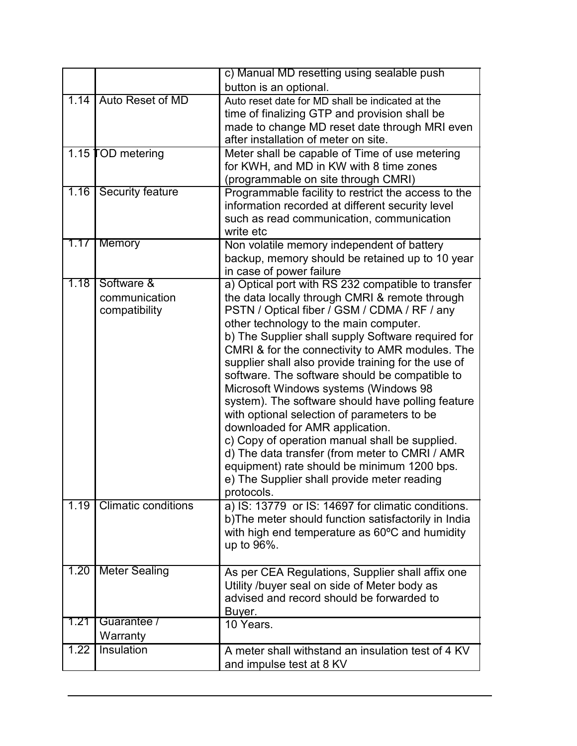|                       |                                              | c) Manual MD resetting using sealable push                                                                                                                                                                                                                                                                                                                                                                                                                                                                                                                                                                                                                                                                                                                                                                       |
|-----------------------|----------------------------------------------|------------------------------------------------------------------------------------------------------------------------------------------------------------------------------------------------------------------------------------------------------------------------------------------------------------------------------------------------------------------------------------------------------------------------------------------------------------------------------------------------------------------------------------------------------------------------------------------------------------------------------------------------------------------------------------------------------------------------------------------------------------------------------------------------------------------|
|                       |                                              | button is an optional.                                                                                                                                                                                                                                                                                                                                                                                                                                                                                                                                                                                                                                                                                                                                                                                           |
| 1.14                  | Auto Reset of MD                             | Auto reset date for MD shall be indicated at the<br>time of finalizing GTP and provision shall be<br>made to change MD reset date through MRI even<br>after installation of meter on site.                                                                                                                                                                                                                                                                                                                                                                                                                                                                                                                                                                                                                       |
|                       | 1.15 <b>TOD</b> metering                     | Meter shall be capable of Time of use metering<br>for KWH, and MD in KW with 8 time zones<br>(programmable on site through CMRI)                                                                                                                                                                                                                                                                                                                                                                                                                                                                                                                                                                                                                                                                                 |
| 1.16                  | <b>Security feature</b>                      | Programmable facility to restrict the access to the<br>information recorded at different security level<br>such as read communication, communication<br>write etc                                                                                                                                                                                                                                                                                                                                                                                                                                                                                                                                                                                                                                                |
| $1.17$ $\overline{ }$ | <b>Memory</b>                                | Non volatile memory independent of battery<br>backup, memory should be retained up to 10 year<br>in case of power failure                                                                                                                                                                                                                                                                                                                                                                                                                                                                                                                                                                                                                                                                                        |
| 1.18                  | Software &<br>communication<br>compatibility | a) Optical port with RS 232 compatible to transfer<br>the data locally through CMRI & remote through<br>PSTN / Optical fiber / GSM / CDMA / RF / any<br>other technology to the main computer.<br>b) The Supplier shall supply Software required for<br>CMRI & for the connectivity to AMR modules. The<br>supplier shall also provide training for the use of<br>software. The software should be compatible to<br>Microsoft Windows systems (Windows 98<br>system). The software should have polling feature<br>with optional selection of parameters to be<br>downloaded for AMR application.<br>c) Copy of operation manual shall be supplied.<br>d) The data transfer (from meter to CMRI / AMR<br>equipment) rate should be minimum 1200 bps.<br>e) The Supplier shall provide meter reading<br>protocols. |
| 1.19                  | <b>Climatic conditions</b>                   | a) IS: 13779 or IS: 14697 for climatic conditions.<br>b) The meter should function satisfactorily in India<br>with high end temperature as 60°C and humidity<br>up to 96%.                                                                                                                                                                                                                                                                                                                                                                                                                                                                                                                                                                                                                                       |
| 1.20                  | <b>Meter Sealing</b>                         | As per CEA Regulations, Supplier shall affix one<br>Utility /buyer seal on side of Meter body as<br>advised and record should be forwarded to<br>Buyer.                                                                                                                                                                                                                                                                                                                                                                                                                                                                                                                                                                                                                                                          |
| 1.21                  | Guarantee /                                  | 10 Years.                                                                                                                                                                                                                                                                                                                                                                                                                                                                                                                                                                                                                                                                                                                                                                                                        |
| 1.22                  | Warranty<br>Insulation                       | A meter shall withstand an insulation test of 4 KV                                                                                                                                                                                                                                                                                                                                                                                                                                                                                                                                                                                                                                                                                                                                                               |
|                       |                                              | and impulse test at 8 KV                                                                                                                                                                                                                                                                                                                                                                                                                                                                                                                                                                                                                                                                                                                                                                                         |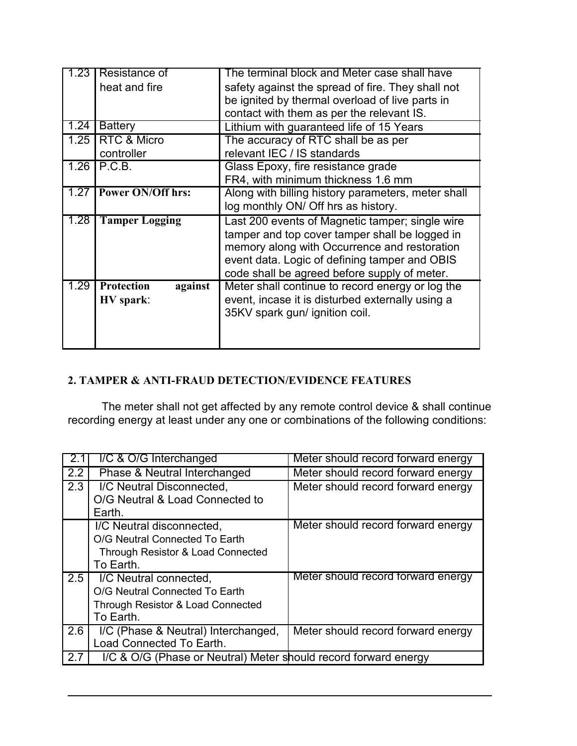| -23  | Resistance of                | The terminal block and Meter case shall have       |  |
|------|------------------------------|----------------------------------------------------|--|
|      | heat and fire                | safety against the spread of fire. They shall not  |  |
|      |                              | be ignited by thermal overload of live parts in    |  |
|      |                              | contact with them as per the relevant IS.          |  |
| 1.24 | <b>Battery</b>               | Lithium with guaranteed life of 15 Years           |  |
| 1.25 | RTC & Micro                  | The accuracy of RTC shall be as per                |  |
|      | controller                   | relevant IEC / IS standards                        |  |
| 1.26 | P.C.B.                       | Glass Epoxy, fire resistance grade                 |  |
|      |                              | FR4, with minimum thickness 1.6 mm                 |  |
| 1.27 | <b>Power ON/Off hrs:</b>     | Along with billing history parameters, meter shall |  |
|      |                              | log monthly ON/ Off hrs as history.                |  |
| 1.28 | <b>Tamper Logging</b>        | Last 200 events of Magnetic tamper; single wire    |  |
|      |                              | tamper and top cover tamper shall be logged in     |  |
|      |                              | memory along with Occurrence and restoration       |  |
|      |                              | event data. Logic of defining tamper and OBIS      |  |
|      |                              | code shall be agreed before supply of meter.       |  |
| 1.29 | <b>Protection</b><br>against | Meter shall continue to record energy or log the   |  |
|      | HV spark:                    | event, incase it is disturbed externally using a   |  |
|      |                              | 35KV spark gun/ ignition coil.                     |  |
|      |                              |                                                    |  |
|      |                              |                                                    |  |

# 2. TAMPER & ANTI-FRAUD DETECTION/EVIDENCE FEATURES

The meter shall not get affected by any remote control device & shall continue recording energy at least under any one or combinations of the following conditions:

|     | I/C & O/G Interchanged                                          | Meter should record forward energy |  |
|-----|-----------------------------------------------------------------|------------------------------------|--|
| 2.2 | Phase & Neutral Interchanged                                    | Meter should record forward energy |  |
| 2.3 | I/C Neutral Disconnected,                                       | Meter should record forward energy |  |
|     | O/G Neutral & Load Connected to                                 |                                    |  |
|     | Earth.                                                          |                                    |  |
|     | I/C Neutral disconnected.                                       | Meter should record forward energy |  |
|     | O/G Neutral Connected To Earth                                  |                                    |  |
|     | Through Resistor & Load Connected                               |                                    |  |
|     | To Earth.                                                       |                                    |  |
| 2.5 | I/C Neutral connected,                                          | Meter should record forward energy |  |
|     | O/G Neutral Connected To Earth                                  |                                    |  |
|     | Through Resistor & Load Connected                               |                                    |  |
|     | To Earth.                                                       |                                    |  |
| 2.6 | I/C (Phase & Neutral) Interchanged,                             | Meter should record forward energy |  |
|     | Load Connected To Earth.                                        |                                    |  |
| 2.7 | I/C & O/G (Phase or Neutral) Meter should record forward energy |                                    |  |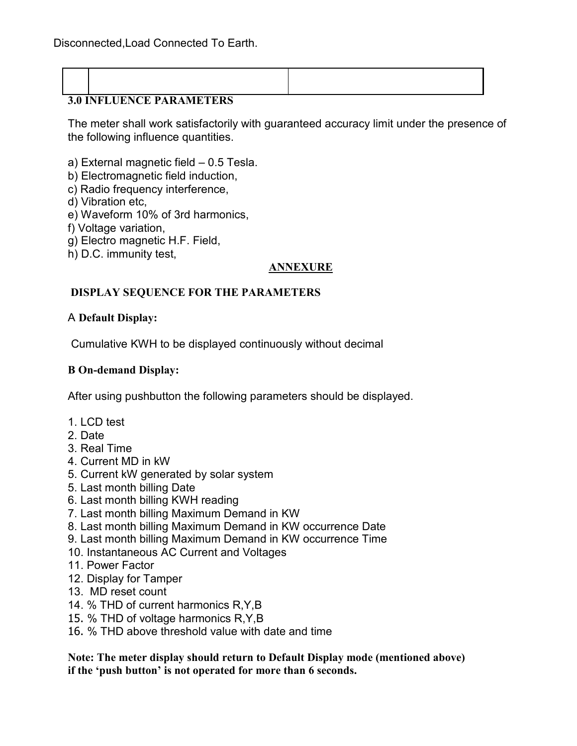| <b>3.0 INFLUENCE PARAMETERS</b> |  |
|---------------------------------|--|
|                                 |  |

The meter shall work satisfactorily with guaranteed accuracy limit under the presence of the following influence quantities.

a) External magnetic field – 0.5 Tesla.

- b) Electromagnetic field induction,
- c) Radio frequency interference,
- d) Vibration etc,
- e) Waveform 10% of 3rd harmonics,
- f) Voltage variation,
- g) Electro magnetic H.F. Field,
- h) D.C. immunity test,

## **ANNEXURE**

## DISPLAY SEQUENCE FOR THE PARAMETERS

## A Default Display:

Cumulative KWH to be displayed continuously without decimal

## B On-demand Display:

After using pushbutton the following parameters should be displayed.

- 1. LCD test
- 2. Date
- 3. Real Time
- 4. Current MD in kW
- 5. Current kW generated by solar system
- 5. Last month billing Date
- 6. Last month billing KWH reading
- 7. Last month billing Maximum Demand in KW
- 8. Last month billing Maximum Demand in KW occurrence Date
- 9. Last month billing Maximum Demand in KW occurrence Time
- 10. Instantaneous AC Current and Voltages
- 11. Power Factor
- 12. Display for Tamper
- 13. MD reset count
- 14. % THD of current harmonics R,Y,B
- 15. % THD of voltage harmonics R,Y,B
- 16. % THD above threshold value with date and time

Note: The meter display should return to Default Display mode (mentioned above) if the 'push button' is not operated for more than 6 seconds.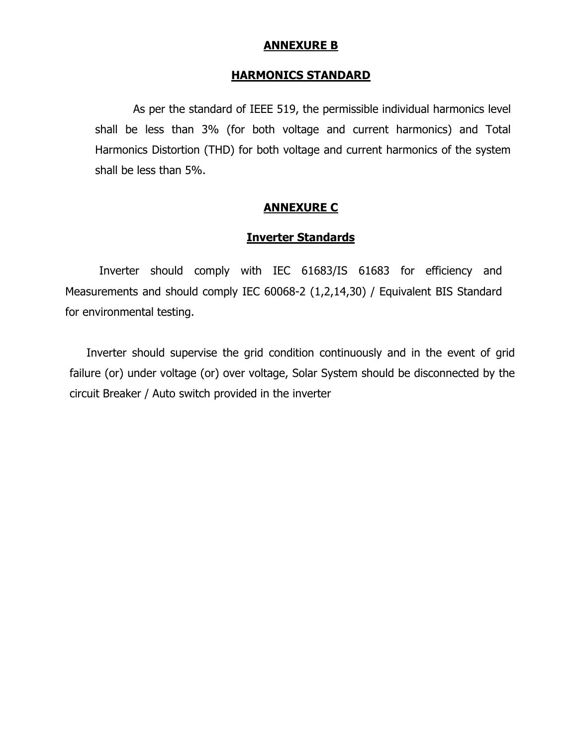### ANNEXURE B

#### HARMONICS STANDARD

 As per the standard of IEEE 519, the permissible individual harmonics level shall be less than 3% (for both voltage and current harmonics) and Total Harmonics Distortion (THD) for both voltage and current harmonics of the system shall be less than 5%.

#### ANNEXURE C

## Inverter Standards

Inverter should comply with IEC 61683/IS 61683 for efficiency and Measurements and should comply IEC 60068-2 (1,2,14,30) / Equivalent BIS Standard for environmental testing.

Inverter should supervise the grid condition continuously and in the event of grid failure (or) under voltage (or) over voltage, Solar System should be disconnected by the circuit Breaker / Auto switch provided in the inverter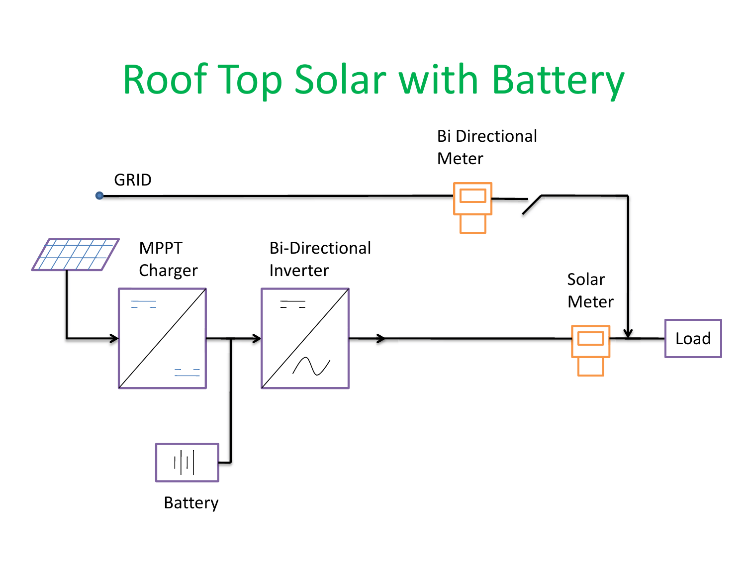# Roof Top Solar with Battery